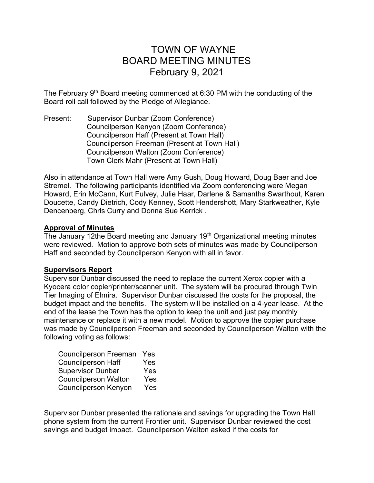# TOWN OF WAYNE BOARD MEETING MINUTES February 9, 2021

The February 9<sup>th</sup> Board meeting commenced at 6:30 PM with the conducting of the Board roll call followed by the Pledge of Allegiance.

Present: Supervisor Dunbar (Zoom Conference) Councilperson Kenyon (Zoom Conference) Councilperson Haff (Present at Town Hall) Councilperson Freeman (Present at Town Hall) Councilperson Walton (Zoom Conference) Town Clerk Mahr (Present at Town Hall)

Also in attendance at Town Hall were Amy Gush, Doug Howard, Doug Baer and Joe Stremel. The following participants identified via Zoom conferencing were Megan Howard, Erin McCann, Kurt Fulvey, Julie Haar, Darlene & Samantha Swarthout, Karen Doucette, Candy Dietrich, Cody Kenney, Scott Hendershott, Mary Starkweather, Kyle Dencenberg, Chrls Curry and Donna Sue Kerrick .

# Approval of Minutes

The January 12the Board meeting and January 19<sup>th</sup> Organizational meeting minutes were reviewed. Motion to approve both sets of minutes was made by Councilperson Haff and seconded by Councilperson Kenyon with all in favor.

## Supervisors Report

Supervisor Dunbar discussed the need to replace the current Xerox copier with a Kyocera color copier/printer/scanner unit. The system will be procured through Twin Tier Imaging of Elmira. Supervisor Dunbar discussed the costs for the proposal, the budget impact and the benefits. The system will be installed on a 4-year lease. At the end of the lease the Town has the option to keep the unit and just pay monthly maintenance or replace it with a new model. Motion to approve the copier purchase was made by Councilperson Freeman and seconded by Councilperson Walton with the following voting as follows:

| <b>Councilperson Freeman</b> | Yes |
|------------------------------|-----|
| <b>Councilperson Haff</b>    | Yes |
| <b>Supervisor Dunbar</b>     | Yes |
| <b>Councilperson Walton</b>  | Yes |
| <b>Councilperson Kenyon</b>  | Yes |

Supervisor Dunbar presented the rationale and savings for upgrading the Town Hall phone system from the current Frontier unit. Supervisor Dunbar reviewed the cost savings and budget impact. Councilperson Walton asked if the costs for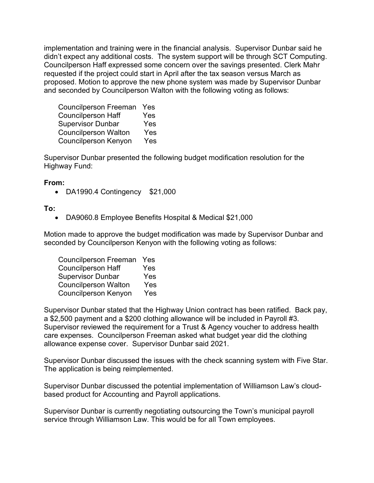implementation and training were in the financial analysis. Supervisor Dunbar said he didn't expect any additional costs. The system support will be through SCT Computing. Councilperson Haff expressed some concern over the savings presented. Clerk Mahr requested if the project could start in April after the tax season versus March as proposed. Motion to approve the new phone system was made by Supervisor Dunbar and seconded by Councilperson Walton with the following voting as follows:

 Councilperson Freeman Yes Councilperson Haff Yes Supervisor Dunbar Yes Councilperson Walton Yes Councilperson Kenyon Yes

Supervisor Dunbar presented the following budget modification resolution for the Highway Fund:

### From:

DA1990.4 Contingency \$21,000

## To:

DA9060.8 Employee Benefits Hospital & Medical \$21,000

Motion made to approve the budget modification was made by Supervisor Dunbar and seconded by Councilperson Kenyon with the following voting as follows:

| <b>Councilperson Freeman</b> | Yes |
|------------------------------|-----|
| <b>Councilperson Haff</b>    | Yes |
| <b>Supervisor Dunbar</b>     | Yes |
| <b>Councilperson Walton</b>  | Yes |
| <b>Councilperson Kenyon</b>  | Yes |

Supervisor Dunbar stated that the Highway Union contract has been ratified. Back pay, a \$2,500 payment and a \$200 clothing allowance will be included in Payroll #3. Supervisor reviewed the requirement for a Trust & Agency voucher to address health care expenses. Councilperson Freeman asked what budget year did the clothing allowance expense cover. Supervisor Dunbar said 2021.

Supervisor Dunbar discussed the issues with the check scanning system with Five Star. The application is being reimplemented.

Supervisor Dunbar discussed the potential implementation of Williamson Law's cloudbased product for Accounting and Payroll applications.

Supervisor Dunbar is currently negotiating outsourcing the Town's municipal payroll service through Williamson Law. This would be for all Town employees.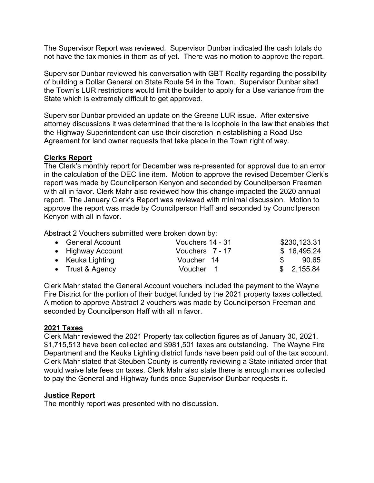The Supervisor Report was reviewed. Supervisor Dunbar indicated the cash totals do not have the tax monies in them as of yet. There was no motion to approve the report.

Supervisor Dunbar reviewed his conversation with GBT Reality regarding the possibility of building a Dollar General on State Route 54 in the Town. Supervisor Dunbar sited the Town's LUR restrictions would limit the builder to apply for a Use variance from the State which is extremely difficult to get approved.

Supervisor Dunbar provided an update on the Greene LUR issue. After extensive attorney discussions it was determined that there is loophole in the law that enables that the Highway Superintendent can use their discretion in establishing a Road Use Agreement for land owner requests that take place in the Town right of way.

## Clerks Report

The Clerk's monthly report for December was re-presented for approval due to an error in the calculation of the DEC line item. Motion to approve the revised December Clerk's report was made by Councilperson Kenyon and seconded by Councilperson Freeman with all in favor. Clerk Mahr also reviewed how this change impacted the 2020 annual report. The January Clerk's Report was reviewed with minimal discussion. Motion to approve the report was made by Councilperson Haff and seconded by Councilperson Kenyon with all in favor.

Abstract 2 Vouchers submitted were broken down by:

| • General Account | Vouchers 14 - 31 |               | \$230,123.31 |
|-------------------|------------------|---------------|--------------|
| • Highway Account | Vouchers 7 - 17  |               | \$16,495.24  |
| • Keuka Lighting  | Voucher 14       | $\mathcal{S}$ | 90.65        |
| • Trust & Agency  | Voucher 1        |               | \$2,155.84   |

Clerk Mahr stated the General Account vouchers included the payment to the Wayne Fire District for the portion of their budget funded by the 2021 property taxes collected. A motion to approve Abstract 2 vouchers was made by Councilperson Freeman and seconded by Councilperson Haff with all in favor.

## 2021 Taxes

Clerk Mahr reviewed the 2021 Property tax collection figures as of January 30, 2021. \$1,715,513 have been collected and \$981,501 taxes are outstanding. The Wayne Fire Department and the Keuka Lighting district funds have been paid out of the tax account. Clerk Mahr stated that Steuben County is currently reviewing a State initiated order that would waive late fees on taxes. Clerk Mahr also state there is enough monies collected to pay the General and Highway funds once Supervisor Dunbar requests it.

#### Justice Report

The monthly report was presented with no discussion.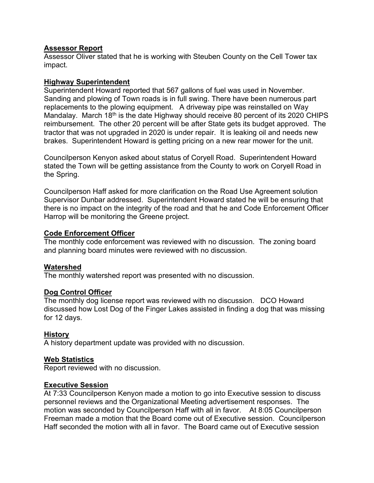## Assessor Report

Assessor Oliver stated that he is working with Steuben County on the Cell Tower tax impact.

## Highway Superintendent

Superintendent Howard reported that 567 gallons of fuel was used in November. Sanding and plowing of Town roads is in full swing. There have been numerous part replacements to the plowing equipment. A driveway pipe was reinstalled on Way Mandalay. March 18<sup>th</sup> is the date Highway should receive 80 percent of its 2020 CHIPS reimbursement. The other 20 percent will be after State gets its budget approved. The tractor that was not upgraded in 2020 is under repair. It is leaking oil and needs new brakes. Superintendent Howard is getting pricing on a new rear mower for the unit.

Councilperson Kenyon asked about status of Coryell Road. Superintendent Howard stated the Town will be getting assistance from the County to work on Coryell Road in the Spring.

Councilperson Haff asked for more clarification on the Road Use Agreement solution Supervisor Dunbar addressed. Superintendent Howard stated he will be ensuring that there is no impact on the integrity of the road and that he and Code Enforcement Officer Harrop will be monitoring the Greene project.

# Code Enforcement Officer

The monthly code enforcement was reviewed with no discussion. The zoning board and planning board minutes were reviewed with no discussion.

# Watershed

The monthly watershed report was presented with no discussion.

## Dog Control Officer

The monthly dog license report was reviewed with no discussion. DCO Howard discussed how Lost Dog of the Finger Lakes assisted in finding a dog that was missing for 12 days.

# History

A history department update was provided with no discussion.

## Web Statistics

Report reviewed with no discussion.

## Executive Session

At 7:33 Councilperson Kenyon made a motion to go into Executive session to discuss personnel reviews and the Organizational Meeting advertisement responses. The motion was seconded by Councilperson Haff with all in favor. At 8:05 Councilperson Freeman made a motion that the Board come out of Executive session. Councilperson Haff seconded the motion with all in favor. The Board came out of Executive session